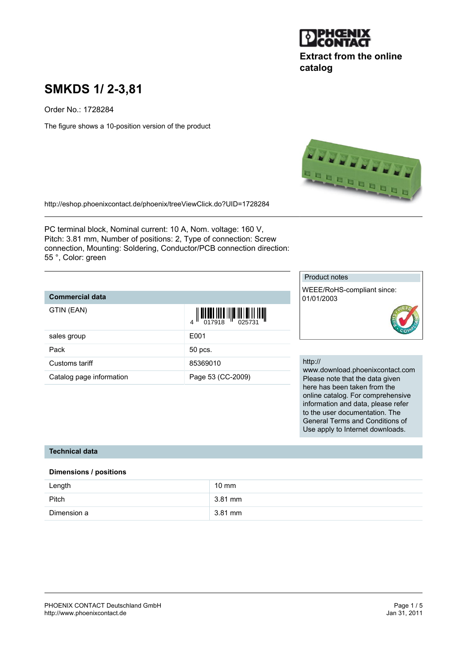

# **Extract from the online catalog**

# **SMKDS 1/ 2-3,81**

Order No.: 1728284

The figure shows a 10-position version of the product



<http://eshop.phoenixcontact.de/phoenix/treeViewClick.do?UID=1728284>

PC terminal block, Nominal current: 10 A, Nom. voltage: 160 V, Pitch: 3.81 mm, Number of positions: 2, Type of connection: Screw connection, Mounting: Soldering, Conductor/PCB connection direction: 55 °, Color: green

| <b>Commercial data</b>   |                                                                                                                                                                                                                                                                                                                                                                                                                                                                                                                                                       |
|--------------------------|-------------------------------------------------------------------------------------------------------------------------------------------------------------------------------------------------------------------------------------------------------------------------------------------------------------------------------------------------------------------------------------------------------------------------------------------------------------------------------------------------------------------------------------------------------|
| GTIN (EAN)               | $\begin{array}{c} \begin{array}{c} \end{array} \begin{array}{c} \end{array} \begin{array}{c} \end{array} \begin{array}{c} \end{array} \begin{array}{c} \end{array} \begin{array}{c} \end{array} \begin{array}{c} \end{array} \begin{array}{c} \end{array} \begin{array}{c} \end{array} \begin{array}{c} \end{array} \begin{array}{c} \end{array} \begin{array}{c} \end{array} \begin{array}{c} \end{array} \begin{array}{c} \end{array} \begin{array}{c} \end{array} \begin{array}{c} \end{array} \begin{array}{c} \end{array} \begin{array}{c} \end$ |
| sales group              | E001                                                                                                                                                                                                                                                                                                                                                                                                                                                                                                                                                  |
| Pack                     | 50 pcs.                                                                                                                                                                                                                                                                                                                                                                                                                                                                                                                                               |
| Customs tariff           | 85369010                                                                                                                                                                                                                                                                                                                                                                                                                                                                                                                                              |
| Catalog page information | Page 53 (CC-2009)                                                                                                                                                                                                                                                                                                                                                                                                                                                                                                                                     |

#### Product notes

WEEE/RoHS-compliant since: 01/01/2003



#### http://

www.download.phoenixcontact.com Please note that the data given here has been taken from the online catalog. For comprehensive information and data, please refer to the user documentation. The General Terms and Conditions of Use apply to Internet downloads.

#### **Technical data**

#### **Dimensions / positions**

| Length      | 10 mm   |
|-------------|---------|
| Pitch       | 3.81 mm |
| Dimension a | 3.81 mm |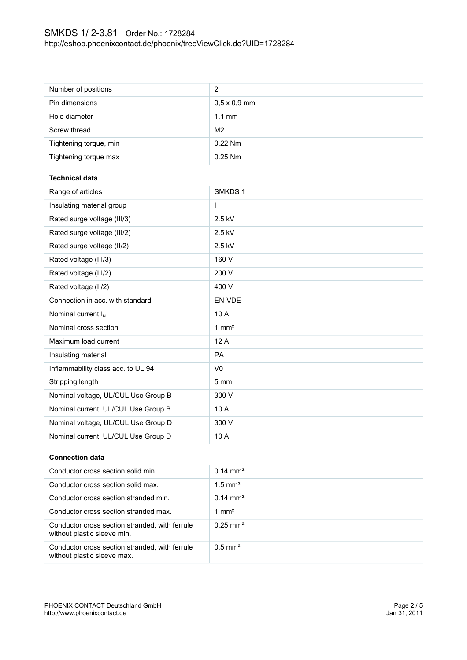| Number of positions                 | $\overline{c}$      |
|-------------------------------------|---------------------|
| Pin dimensions                      | $0,5 \times 0,9$ mm |
| Hole diameter                       | $1.1$ mm            |
| Screw thread                        | M <sub>2</sub>      |
| Tightening torque, min              | 0.22 Nm             |
| Tightening torque max               | 0.25 Nm             |
| <b>Technical data</b>               |                     |
| Range of articles                   | SMKDS 1             |
| Insulating material group           | I                   |
| Rated surge voltage (III/3)         | 2.5 kV              |
| Rated surge voltage (III/2)         | 2.5 kV              |
| Rated surge voltage (II/2)          | 2.5 kV              |
| Rated voltage (III/3)               | 160 V               |
| Rated voltage (III/2)               | 200 V               |
| Rated voltage (II/2)                | 400 V               |
| Connection in acc. with standard    | EN-VDE              |
| Nominal current I <sub>N</sub>      | 10 A                |
| Nominal cross section               | $1 \text{ mm}^2$    |
| Maximum load current                | 12A                 |
| Insulating material                 | PA                  |
| Inflammability class acc. to UL 94  | V <sub>0</sub>      |
| Stripping length                    | 5 mm                |
| Nominal voltage, UL/CUL Use Group B | 300 V               |
| Nominal current, UL/CUL Use Group B | 10 A                |
| Nominal voltage, UL/CUL Use Group D | 300 V               |
|                                     | 10 A                |
| Nominal current, UL/CUL Use Group D |                     |
| Cannaatian data                     |                     |

#### **Connection data**

| Conductor cross section solid min.                                            | $0.14 \text{ mm}^2$   |
|-------------------------------------------------------------------------------|-----------------------|
| Conductor cross section solid max.                                            | $1.5$ mm <sup>2</sup> |
| Conductor cross section stranded min.                                         | $0.14 \text{ mm}^2$   |
| Conductor cross section stranded max.                                         | 1 mm <sup>2</sup>     |
| Conductor cross section stranded, with ferrule<br>without plastic sleeve min. | $0.25 \text{ mm}^2$   |
| Conductor cross section stranded, with ferrule<br>without plastic sleeve max. | $0.5 \text{ mm}^2$    |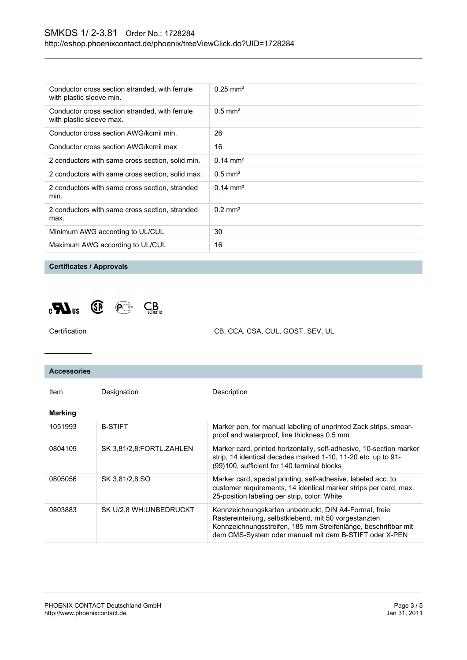| Conductor cross section stranded, with ferrule<br>with plastic sleeve min. | $0.25$ mm <sup>2</sup> |
|----------------------------------------------------------------------------|------------------------|
| Conductor cross section stranded, with ferrule<br>with plastic sleeve max. | $0.5$ mm <sup>2</sup>  |
| Conductor cross section AWG/kcmil min.                                     | 26                     |
| Conductor cross section AWG/kcmil max                                      | 16                     |
| 2 conductors with same cross section, solid min.                           | $0.14 \text{ mm}^2$    |
| 2 conductors with same cross section, solid max.                           | $0.5$ mm <sup>2</sup>  |
| 2 conductors with same cross section, stranded<br>min.                     | $0.14 \text{ mm}^2$    |
| 2 conductors with same cross section, stranded<br>max.                     | $0.2 \text{ mm}^2$     |
| Minimum AWG according to UL/CUL                                            | 30                     |
| Maximum AWG according to UL/CUL                                            | 16                     |

**Certificates / Approvals**



CB, CCA, CSA, CUL, GOST, SEV, UL

| <b>Accessories</b> |                          |                                                                                                                                                                                                                                            |
|--------------------|--------------------------|--------------------------------------------------------------------------------------------------------------------------------------------------------------------------------------------------------------------------------------------|
| Item               | Designation              | Description                                                                                                                                                                                                                                |
| <b>Marking</b>     |                          |                                                                                                                                                                                                                                            |
| 1051993            | <b>B-STIFT</b>           | Marker pen, for manual labeling of unprinted Zack strips, smear-<br>proof and waterproof, line thickness 0.5 mm                                                                                                                            |
| 0804109            | SK 3,81/2,8:FORTL.ZAHLEN | Marker card, printed horizontally, self-adhesive, 10-section marker<br>strip, 14 identical decades marked 1-10, 11-20 etc. up to 91-<br>(99)100, sufficient for 140 terminal blocks                                                        |
| 0805056            | SK 3.81/2.8:SO           | Marker card, special printing, self-adhesive, labeled acc. to<br>customer requirements, 14 identical marker strips per card, max.<br>25-position labeling per strip, color: White                                                          |
| 0803883            | SK U/2.8 WH:UNBEDRUCKT   | Kennzeichnungskarten unbedruckt, DIN A4-Format, freie<br>Rastereinteilung, selbstklebend, mit 50 vorgestanzten<br>Kennzeichnungsstreifen, 185 mm Streifenlänge, beschriftbar mit<br>dem CMS-System oder manuell mit dem B-STIFT oder X-PEN |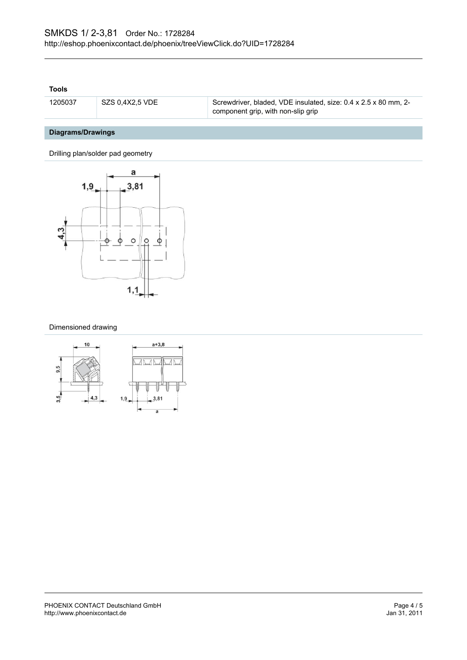#### **Tools**

| 1205037 | $\mid$ SZS 0.4X2.5 VDE | Screwdriver, bladed, VDE insulated, size: 0.4 x 2.5 x 80 mm, 2- |
|---------|------------------------|-----------------------------------------------------------------|
|         |                        | component grip, with non-slip grip                              |

## **Diagrams/Drawings**

Drilling plan/solder pad geometry



#### Dimensioned drawing